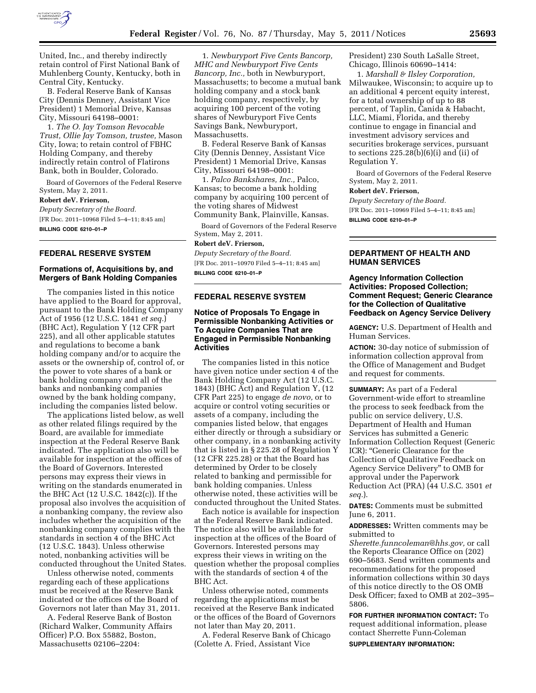

United, Inc., and thereby indirectly retain control of First National Bank of Muhlenberg County, Kentucky, both in Central City, Kentucky.

B. Federal Reserve Bank of Kansas City (Dennis Denney, Assistant Vice President) 1 Memorial Drive, Kansas City, Missouri 64198–0001:

1. *The O. Jay Tomson Revocable Trust, Ollie Jay Tomson, trustee,* Mason City, Iowa; to retain control of FBHC Holding Company, and thereby indirectly retain control of Flatirons Bank, both in Boulder, Colorado.

Board of Governors of the Federal Reserve System, May 2, 2011.

# **Robert deV. Frierson,**

*Deputy Secretary of the Board.*  [FR Doc. 2011–10968 Filed 5–4–11; 8:45 am] **BILLING CODE 6210–01–P** 

### **FEDERAL RESERVE SYSTEM**

### **Formations of, Acquisitions by, and Mergers of Bank Holding Companies**

The companies listed in this notice have applied to the Board for approval, pursuant to the Bank Holding Company Act of 1956 (12 U.S.C. 1841 *et seq.*) (BHC Act), Regulation Y (12 CFR part 225), and all other applicable statutes and regulations to become a bank holding company and/or to acquire the assets or the ownership of, control of, or the power to vote shares of a bank or bank holding company and all of the banks and nonbanking companies owned by the bank holding company, including the companies listed below.

The applications listed below, as well as other related filings required by the Board, are available for immediate inspection at the Federal Reserve Bank indicated. The application also will be available for inspection at the offices of the Board of Governors. Interested persons may express their views in writing on the standards enumerated in the BHC Act (12 U.S.C. 1842(c)). If the proposal also involves the acquisition of a nonbanking company, the review also includes whether the acquisition of the nonbanking company complies with the standards in section 4 of the BHC Act (12 U.S.C. 1843). Unless otherwise noted, nonbanking activities will be conducted throughout the United States.

Unless otherwise noted, comments regarding each of these applications must be received at the Reserve Bank indicated or the offices of the Board of Governors not later than May 31, 2011.

A. Federal Reserve Bank of Boston (Richard Walker, Community Affairs Officer) P.O. Box 55882, Boston, Massachusetts 02106–2204:

1. *Newburyport Five Cents Bancorp, MHC and Newburyport Five Cents Bancorp, Inc.,* both in Newburyport, Massachusetts; to become a mutual bank holding company and a stock bank holding company, respectively, by acquiring 100 percent of the voting shares of Newburyport Five Cents Savings Bank, Newburyport, Massachusetts.

B. Federal Reserve Bank of Kansas City (Dennis Denney, Assistant Vice President) 1 Memorial Drive, Kansas City, Missouri 64198–0001:

1. *Palco Bankshares, Inc.,* Palco, Kansas; to become a bank holding company by acquiring 100 percent of the voting shares of Midwest Community Bank, Plainville, Kansas.

Board of Governors of the Federal Reserve System, May 2, 2011.

# **Robert deV. Frierson,**

*Deputy Secretary of the Board.*  [FR Doc. 2011–10970 Filed 5–4–11; 8:45 am] **BILLING CODE 6210–01–P** 

#### **FEDERAL RESERVE SYSTEM**

# **Notice of Proposals To Engage in Permissible Nonbanking Activities or To Acquire Companies That are Engaged in Permissible Nonbanking Activities**

The companies listed in this notice have given notice under section 4 of the Bank Holding Company Act (12 U.S.C. 1843) (BHC Act) and Regulation Y, (12 CFR Part 225) to engage *de novo,* or to acquire or control voting securities or assets of a company, including the companies listed below, that engages either directly or through a subsidiary or other company, in a nonbanking activity that is listed in § 225.28 of Regulation Y (12 CFR 225.28) or that the Board has determined by Order to be closely related to banking and permissible for bank holding companies. Unless otherwise noted, these activities will be conducted throughout the United States.

Each notice is available for inspection at the Federal Reserve Bank indicated. The notice also will be available for inspection at the offices of the Board of Governors. Interested persons may express their views in writing on the question whether the proposal complies with the standards of section 4 of the BHC Act.

Unless otherwise noted, comments regarding the applications must be received at the Reserve Bank indicated or the offices of the Board of Governors not later than May 20, 2011.

A. Federal Reserve Bank of Chicago (Colette A. Fried, Assistant Vice

President) 230 South LaSalle Street, Chicago, Illinois 60690–1414:

1. *Marshall & Ilsley Corporation,*  Milwaukee, Wisconsin; to acquire up to an additional 4 percent equity interest, for a total ownership of up to 88 percent, of Taplin, Canida & Habacht, LLC, Miami, Florida, and thereby continue to engage in financial and investment advisory services and securities brokerage services, pursuant to sections  $225.28(b)(6)(i)$  and (ii) of Regulation Y.

Board of Governors of the Federal Reserve System, May 2, 2011.

#### **Robert deV. Frierson,**

*Deputy Secretary of the Board.*  [FR Doc. 2011–10969 Filed 5–4–11; 8:45 am] **BILLING CODE 6210–01–P** 

# **DEPARTMENT OF HEALTH AND HUMAN SERVICES**

# **Agency Information Collection Activities: Proposed Collection; Comment Request; Generic Clearance for the Collection of Qualitative Feedback on Agency Service Delivery**

**AGENCY:** U.S. Department of Health and Human Services.

**ACTION:** 30-day notice of submission of information collection approval from the Office of Management and Budget and request for comments.

**SUMMARY:** As part of a Federal Government-wide effort to streamline the process to seek feedback from the public on service delivery, U.S. Department of Health and Human Services has submitted a Generic Information Collection Request (Generic ICR): ''Generic Clearance for the Collection of Qualitative Feedback on Agency Service Delivery'' to OMB for approval under the Paperwork Reduction Act (PRA) (44 U.S.C. 3501 *et seq.*).

**DATES:** Comments must be submitted June 6, 2011.

**ADDRESSES:** Written comments may be submitted to

*[Sherette.funncoleman@hhs.gov,](mailto:Sherette.funncoleman@hhs.gov)* or call the Reports Clearance Office on (202) 690–5683. Send written comments and recommendations for the proposed information collections within 30 days of this notice directly to the OS OMB Desk Officer; faxed to OMB at 202–395– 5806.

**FOR FURTHER INFORMATION CONTACT:** To request additional information, please contact Sherrette Funn-Coleman

**SUPPLEMENTARY INFORMATION:**